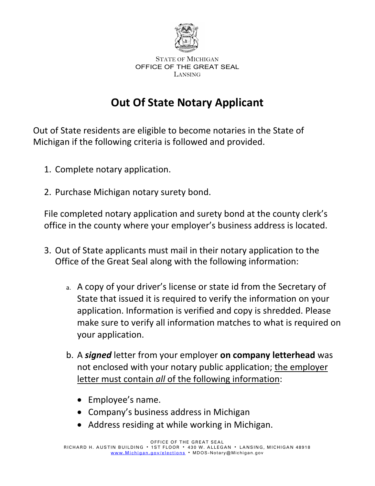

## **Out Of State Notary Applicant**

Out of State residents are eligible to become notaries in the State of Michigan if the following criteria is followed and provided.

- 1. Complete notary application.
- 2. Purchase Michigan notary surety bond.

File completed notary application and surety bond at the county clerk's office in the county where your employer's business address is located.

- 3. Out of State applicants must mail in their notary application to the Office of the Great Seal along with the following information:
	- a. A copy of your driver's license or state id from the Secretary of State that issued it is required to verify the information on your application. Information is verified and copy is shredded. Please make sure to verify all information matches to what is required on your application.
	- b. A *signed* letter from your employer **on company letterhead** was not enclosed with your notary public application; the employer letter must contain *all* of the following information:
		- Employee's name.
		- Company's business address in Michigan
		- Address residing at while working in Michigan.